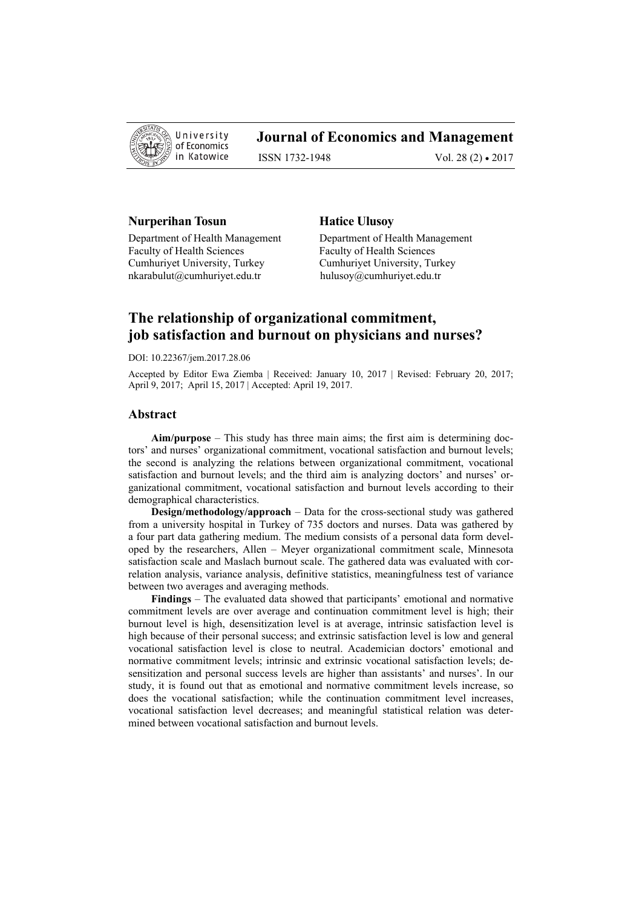

# **Journal of Economics and Management**

ISSN 1732-1948 Vol. 28 (2) • 2017

# **Nurperihan Tosun Figure 12 Bullion Hatice Ulusoy**

Department of Health Management Department of Health Management Faculty of Health Sciences<br>
Faculty of Health Sciences Cumhuriyet University, Turkey Cumhuriyet University, Turkey nkarabulut@cumhuriyet.edu.tr hulusoy@cumhuriyet.edu.tr

# **The relationship of organizational commitment, job satisfaction and burnout on physicians and nurses?**

DOI: 10.22367/jem.2017.28.06

Accepted by Editor Ewa Ziemba | Received: January 10, 2017 | Revised: February 20, 2017; April 9, 2017; April 15, 2017 | Accepted: April 19, 2017.

#### **Abstract**

**Aim/purpose** – This study has three main aims; the first aim is determining doctors' and nurses' organizational commitment, vocational satisfaction and burnout levels; the second is analyzing the relations between organizational commitment, vocational satisfaction and burnout levels; and the third aim is analyzing doctors' and nurses' organizational commitment, vocational satisfaction and burnout levels according to their demographical characteristics.

**Design/methodology/approach** – Data for the cross-sectional study was gathered from a university hospital in Turkey of 735 doctors and nurses. Data was gathered by a four part data gathering medium. The medium consists of a personal data form developed by the researchers, Allen – Meyer organizational commitment scale, Minnesota satisfaction scale and Maslach burnout scale. The gathered data was evaluated with correlation analysis, variance analysis, definitive statistics, meaningfulness test of variance between two averages and averaging methods.

**Findings** – The evaluated data showed that participants' emotional and normative commitment levels are over average and continuation commitment level is high; their burnout level is high, desensitization level is at average, intrinsic satisfaction level is high because of their personal success; and extrinsic satisfaction level is low and general vocational satisfaction level is close to neutral. Academician doctors' emotional and normative commitment levels; intrinsic and extrinsic vocational satisfaction levels; desensitization and personal success levels are higher than assistants' and nurses'. In our study, it is found out that as emotional and normative commitment levels increase, so does the vocational satisfaction; while the continuation commitment level increases, vocational satisfaction level decreases; and meaningful statistical relation was determined between vocational satisfaction and burnout levels.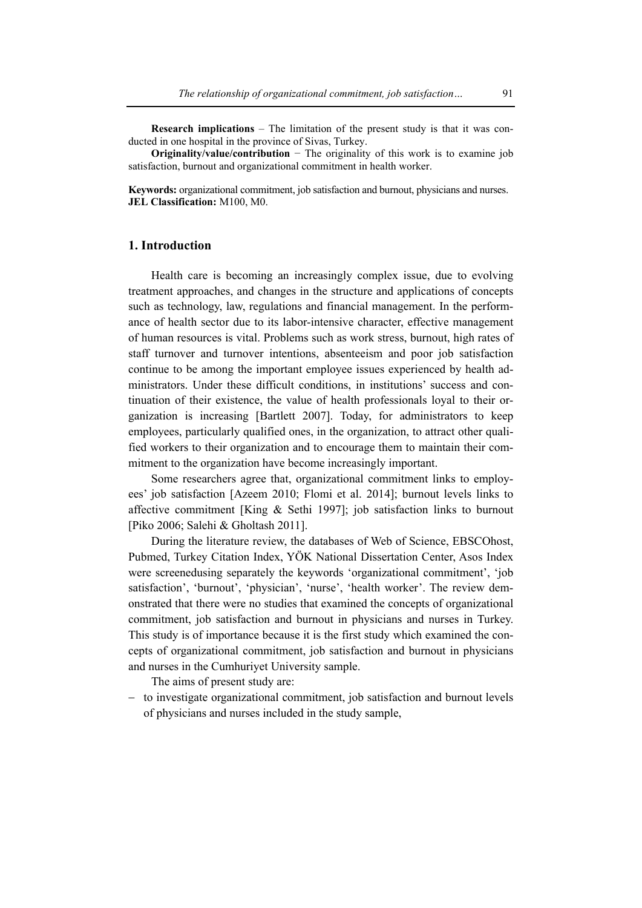**Research implications** – The limitation of the present study is that it was conducted in one hospital in the province of Sivas, Turkey.

**Originality/value/contribution** − The originality of this work is to examine job satisfaction, burnout and organizational commitment in health worker.

**Keywords:** organizational commitment, job satisfaction and burnout, physicians and nurses. **JEL Classification:** M100, M0.

# **1. Introduction**

Health care is becoming an increasingly complex issue, due to evolving treatment approaches, and changes in the structure and applications of concepts such as technology, law, regulations and financial management. In the performance of health sector due to its labor-intensive character, effective management of human resources is vital. Problems such as work stress, burnout, high rates of staff turnover and turnover intentions, absenteeism and poor job satisfaction continue to be among the important employee issues experienced by health administrators. Under these difficult conditions, in institutions' success and continuation of their existence, the value of health professionals loyal to their organization is increasing [Bartlett 2007]. Today, for administrators to keep employees, particularly qualified ones, in the organization, to attract other qualified workers to their organization and to encourage them to maintain their commitment to the organization have become increasingly important.

Some researchers agree that, organizational commitment links to employees' job satisfaction [Azeem 2010; Flomi et al. 2014]; burnout levels links to affective commitment [King  $&$  Sethi 1997]; job satisfaction links to burnout [Piko 2006; Salehi & Gholtash 2011].

During the literature review, the databases of Web of Science, EBSCOhost, Pubmed, Turkey Citation Index, YÖK National Dissertation Center, Asos Index were screenedusing separately the keywords 'organizational commitment', 'job satisfaction', 'burnout', 'physician', 'nurse', 'health worker'. The review demonstrated that there were no studies that examined the concepts of organizational commitment, job satisfaction and burnout in physicians and nurses in Turkey. This study is of importance because it is the first study which examined the concepts of organizational commitment, job satisfaction and burnout in physicians and nurses in the Cumhuriyet University sample.

The aims of present study are:

− to investigate organizational commitment, job satisfaction and burnout levels of physicians and nurses included in the study sample,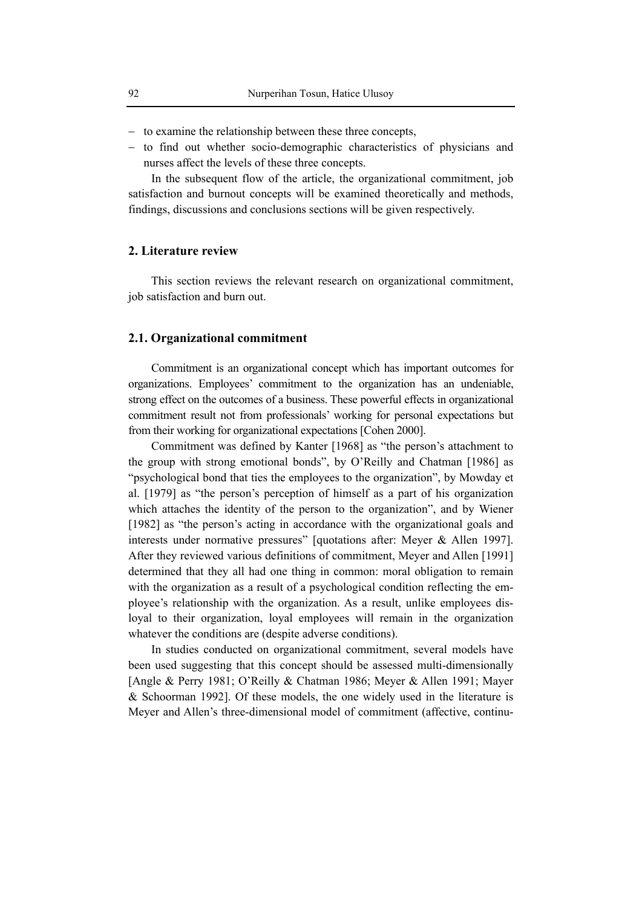- − to examine the relationship between these three concepts,
- − to find out whether socio-demographic characteristics of physicians and nurses affect the levels of these three concepts.

In the subsequent flow of the article, the organizational commitment, job satisfaction and burnout concepts will be examined theoretically and methods, findings, discussions and conclusions sections will be given respectively.

#### **2. Literature review**

This section reviews the relevant research on organizational commitment, job satisfaction and burn out.

### **2.1. Organizational commitment**

Commitment is an organizational concept which has important outcomes for organizations. Employees' commitment to the organization has an undeniable, strong effect on the outcomes of a business. These powerful effects in organizational commitment result not from professionals' working for personal expectations but from their working for organizational expectations [Cohen 2000].

Commitment was defined by Kanter [1968] as "the person's attachment to the group with strong emotional bonds", by O'Reilly and Chatman [1986] as "psychological bond that ties the employees to the organization", by Mowday et al. [1979] as "the person's perception of himself as a part of his organization which attaches the identity of the person to the organization", and by Wiener [1982] as "the person's acting in accordance with the organizational goals and interests under normative pressures" [quotations after: Meyer & Allen 1997]. After they reviewed various definitions of commitment, Meyer and Allen [1991] determined that they all had one thing in common: moral obligation to remain with the organization as a result of a psychological condition reflecting the employee's relationship with the organization. As a result, unlike employees disloyal to their organization, loyal employees will remain in the organization whatever the conditions are (despite adverse conditions).

In studies conducted on organizational commitment, several models have been used suggesting that this concept should be assessed multi-dimensionally [Angle & Perry 1981; O'Reilly & Chatman 1986; Meyer & Allen 1991; Mayer & Schoorman 1992]. Of these models, the one widely used in the literature is Meyer and Allen's three-dimensional model of commitment (affective, continu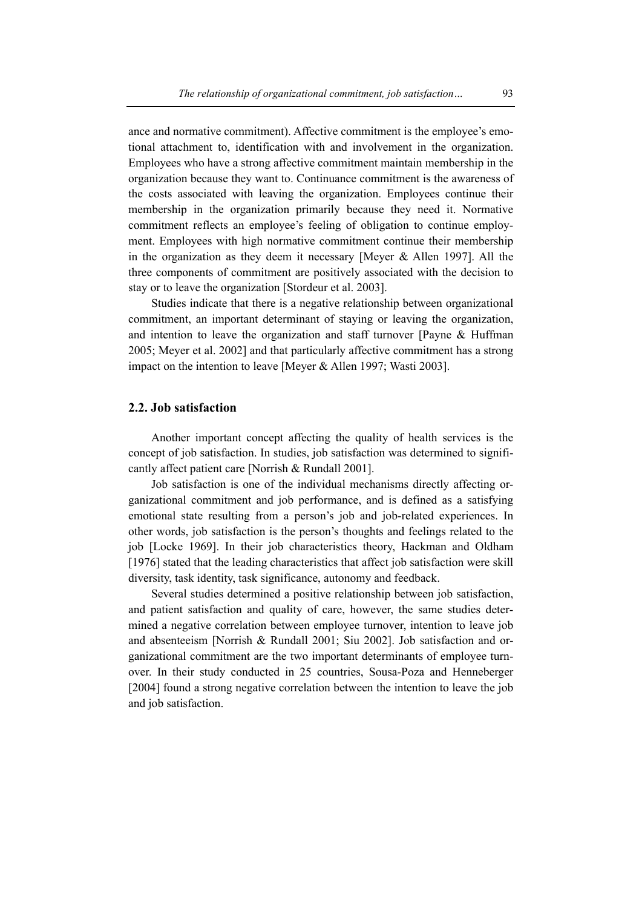ance and normative commitment). Affective commitment is the employee's emotional attachment to, identification with and involvement in the organization. Employees who have a strong affective commitment maintain membership in the organization because they want to. Continuance commitment is the awareness of the costs associated with leaving the organization. Employees continue their membership in the organization primarily because they need it. Normative commitment reflects an employee's feeling of obligation to continue employment. Employees with high normative commitment continue their membership in the organization as they deem it necessary [Meyer & Allen 1997]. All the three components of commitment are positively associated with the decision to stay or to leave the organization [Stordeur et al. 2003].

Studies indicate that there is a negative relationship between organizational commitment, an important determinant of staying or leaving the organization, and intention to leave the organization and staff turnover [Payne  $\&$  Huffman 2005; Meyer et al. 2002] and that particularly affective commitment has a strong impact on the intention to leave [Meyer & Allen 1997; Wasti 2003].

# **2.2. Job satisfaction**

Another important concept affecting the quality of health services is the concept of job satisfaction. In studies, job satisfaction was determined to significantly affect patient care [Norrish & Rundall 2001].

Job satisfaction is one of the individual mechanisms directly affecting organizational commitment and job performance, and is defined as a satisfying emotional state resulting from a person's job and job-related experiences. In other words, job satisfaction is the person's thoughts and feelings related to the job [Locke 1969]. In their job characteristics theory, Hackman and Oldham [1976] stated that the leading characteristics that affect job satisfaction were skill diversity, task identity, task significance, autonomy and feedback.

Several studies determined a positive relationship between job satisfaction, and patient satisfaction and quality of care, however, the same studies determined a negative correlation between employee turnover, intention to leave job and absenteeism [Norrish & Rundall 2001; Siu 2002]. Job satisfaction and organizational commitment are the two important determinants of employee turnover. In their study conducted in 25 countries, Sousa-Poza and Henneberger [2004] found a strong negative correlation between the intention to leave the job and job satisfaction.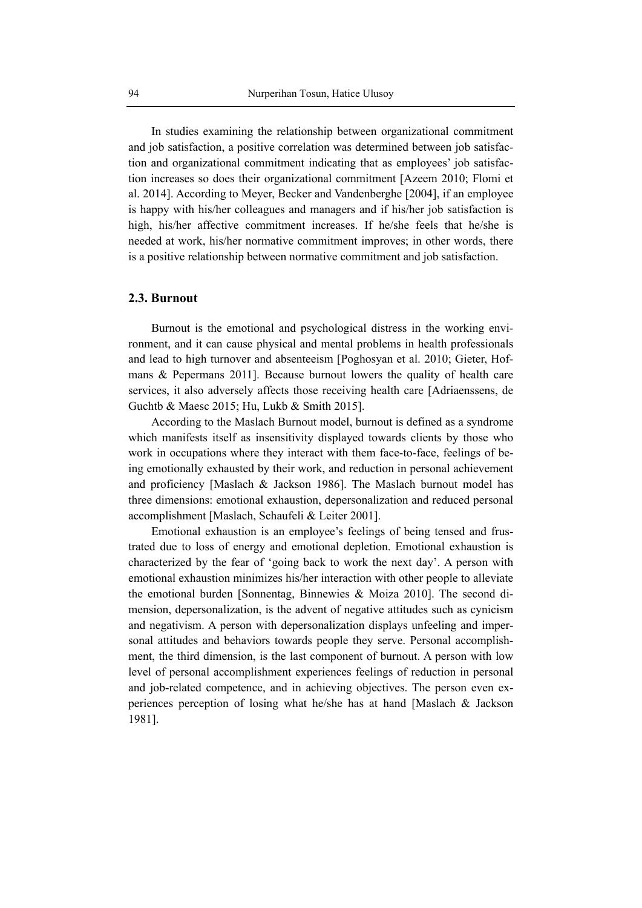In studies examining the relationship between organizational commitment and job satisfaction, a positive correlation was determined between job satisfaction and organizational commitment indicating that as employees' job satisfaction increases so does their organizational commitment [Azeem 2010; Flomi et al. 2014]. According to Meyer, Becker and Vandenberghe [2004], if an employee is happy with his/her colleagues and managers and if his/her job satisfaction is high, his/her affective commitment increases. If he/she feels that he/she is needed at work, his/her normative commitment improves; in other words, there is a positive relationship between normative commitment and job satisfaction.

#### **2.3. Burnout**

Burnout is the emotional and psychological distress in the working environment, and it can cause physical and mental problems in health professionals and lead to high turnover and absenteeism [Poghosyan et al. 2010; Gieter, Hofmans & Pepermans 2011]. Because burnout lowers the quality of health care services, it also adversely affects those receiving health care [Adriaenssens, de Guchtb & Maesc 2015; Hu, Lukb & Smith 2015].

According to the Maslach Burnout model, burnout is defined as a syndrome which manifests itself as insensitivity displayed towards clients by those who work in occupations where they interact with them face-to-face, feelings of being emotionally exhausted by their work, and reduction in personal achievement and proficiency [Maslach & Jackson 1986]. The Maslach burnout model has three dimensions: emotional exhaustion, depersonalization and reduced personal accomplishment [Maslach, Schaufeli & Leiter 2001].

Emotional exhaustion is an employee's feelings of being tensed and frustrated due to loss of energy and emotional depletion. Emotional exhaustion is characterized by the fear of 'going back to work the next day'. A person with emotional exhaustion minimizes his/her interaction with other people to alleviate the emotional burden [Sonnentag, Binnewies & Moiza 2010]. The second dimension, depersonalization, is the advent of negative attitudes such as cynicism and negativism. A person with depersonalization displays unfeeling and impersonal attitudes and behaviors towards people they serve. Personal accomplishment, the third dimension, is the last component of burnout. A person with low level of personal accomplishment experiences feelings of reduction in personal and job-related competence, and in achieving objectives. The person even experiences perception of losing what he/she has at hand [Maslach & Jackson 1981].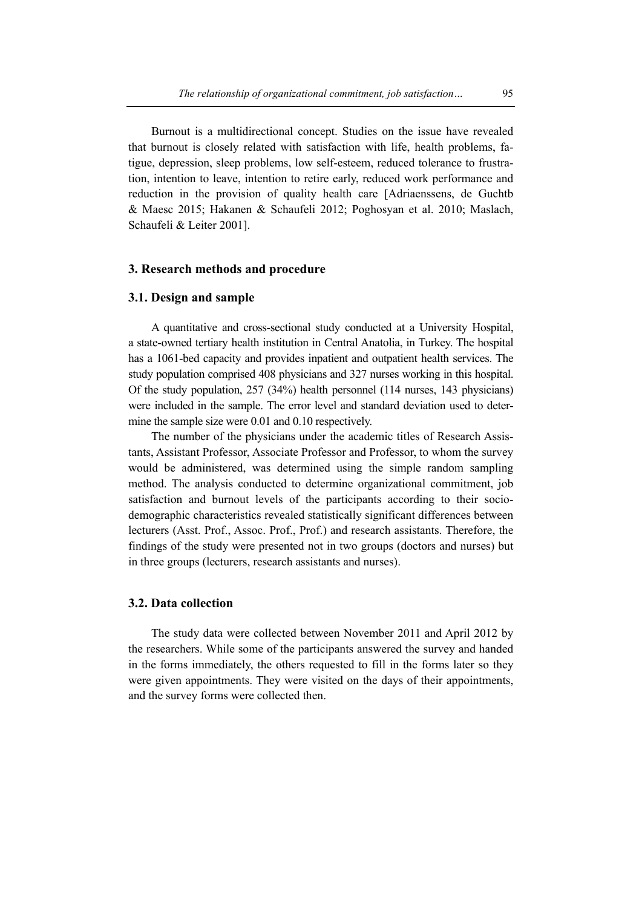Burnout is a multidirectional concept. Studies on the issue have revealed that burnout is closely related with satisfaction with life, health problems, fatigue, depression, sleep problems, low self-esteem, reduced tolerance to frustration, intention to leave, intention to retire early, reduced work performance and reduction in the provision of quality health care [Adriaenssens, de Guchtb & Maesc 2015; Hakanen & Schaufeli 2012; Poghosyan et al. 2010; Maslach, Schaufeli & Leiter 2001].

### **3. Research methods and procedure**

# **3.1. Design and sample**

A quantitative and cross-sectional study conducted at a University Hospital, a state-owned tertiary health institution in Central Anatolia, in Turkey. The hospital has a 1061-bed capacity and provides inpatient and outpatient health services. The study population comprised 408 physicians and 327 nurses working in this hospital. Of the study population, 257 (34%) health personnel (114 nurses, 143 physicians) were included in the sample. The error level and standard deviation used to determine the sample size were 0.01 and 0.10 respectively.

The number of the physicians under the academic titles of Research Assistants, Assistant Professor, Associate Professor and Professor, to whom the survey would be administered, was determined using the simple random sampling method. The analysis conducted to determine organizational commitment, job satisfaction and burnout levels of the participants according to their sociodemographic characteristics revealed statistically significant differences between lecturers (Asst. Prof., Assoc. Prof., Prof.) and research assistants. Therefore, the findings of the study were presented not in two groups (doctors and nurses) but in three groups (lecturers, research assistants and nurses).

#### **3.2. Data collection**

The study data were collected between November 2011 and April 2012 by the researchers. While some of the participants answered the survey and handed in the forms immediately, the others requested to fill in the forms later so they were given appointments. They were visited on the days of their appointments, and the survey forms were collected then.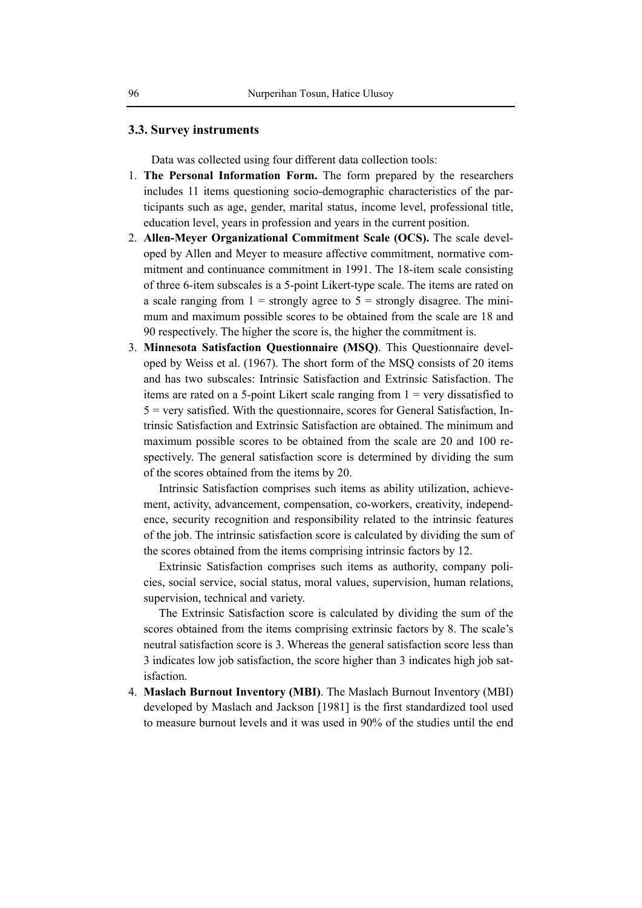# **3.3. Survey instruments**

Data was collected using four different data collection tools:

- 1. **The Personal Information Form.** The form prepared by the researchers includes 11 items questioning socio-demographic characteristics of the participants such as age, gender, marital status, income level, professional title, education level, years in profession and years in the current position.
- 2. **Allen-Meyer Organizational Commitment Scale (OCS).** The scale developed by Allen and Meyer to measure affective commitment, normative commitment and continuance commitment in 1991. The 18-item scale consisting of three 6-item subscales is a 5-point Likert-type scale. The items are rated on a scale ranging from  $1 =$  strongly agree to  $5 =$  strongly disagree. The minimum and maximum possible scores to be obtained from the scale are 18 and 90 respectively. The higher the score is, the higher the commitment is.
- 3. **Minnesota Satisfaction Questionnaire (MSQ)**. This Questionnaire developed by Weiss et al. (1967). The short form of the MSQ consists of 20 items and has two subscales: Intrinsic Satisfaction and Extrinsic Satisfaction. The items are rated on a 5-point Likert scale ranging from 1 = very dissatisfied to  $5$  = very satisfied. With the questionnaire, scores for General Satisfaction, Intrinsic Satisfaction and Extrinsic Satisfaction are obtained. The minimum and maximum possible scores to be obtained from the scale are 20 and 100 respectively. The general satisfaction score is determined by dividing the sum of the scores obtained from the items by 20.

Intrinsic Satisfaction comprises such items as ability utilization, achievement, activity, advancement, compensation, co-workers, creativity, independence, security recognition and responsibility related to the intrinsic features of the job. The intrinsic satisfaction score is calculated by dividing the sum of the scores obtained from the items comprising intrinsic factors by 12.

Extrinsic Satisfaction comprises such items as authority, company policies, social service, social status, moral values, supervision, human relations, supervision, technical and variety.

The Extrinsic Satisfaction score is calculated by dividing the sum of the scores obtained from the items comprising extrinsic factors by 8. The scale's neutral satisfaction score is 3. Whereas the general satisfaction score less than 3 indicates low job satisfaction, the score higher than 3 indicates high job satisfaction.

4. **Maslach Burnout Inventory (MBI)**. The Maslach Burnout Inventory (MBI) developed by Maslach and Jackson [1981] is the first standardized tool used to measure burnout levels and it was used in 90% of the studies until the end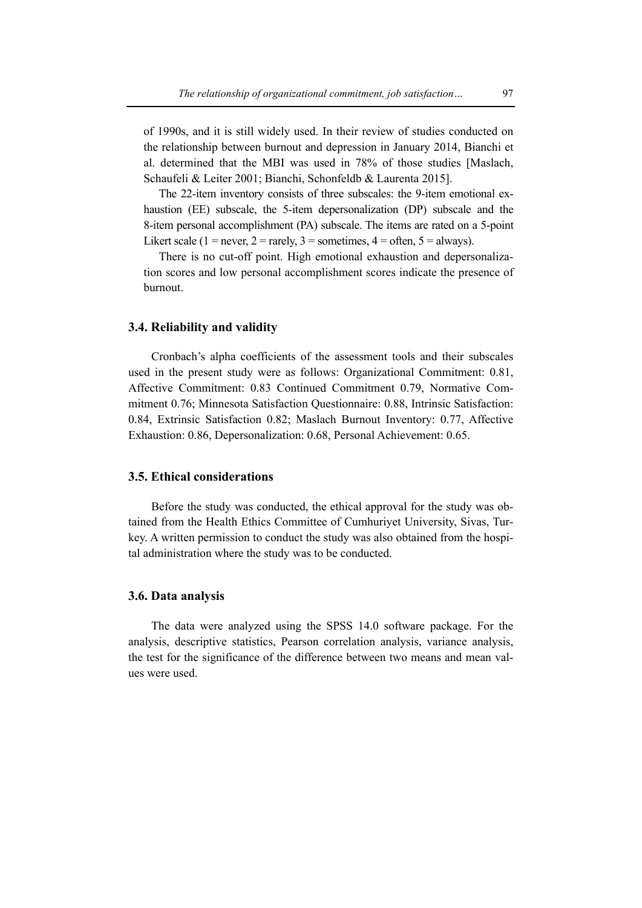of 1990s, and it is still widely used. In their review of studies conducted on the relationship between burnout and depression in January 2014, Bianchi et al. determined that the MBI was used in 78% of those studies [Maslach, Schaufeli & Leiter 2001; Bianchi, Schonfeldb & Laurenta 2015].

The 22-item inventory consists of three subscales: the 9-item emotional exhaustion (EE) subscale, the 5-item depersonalization (DP) subscale and the 8-item personal accomplishment (PA) subscale. The items are rated on a 5-point Likert scale (1 = never, 2 = rarely, 3 = sometimes,  $4 =$  often,  $5 =$  always).

There is no cut-off point. High emotional exhaustion and depersonalization scores and low personal accomplishment scores indicate the presence of burnout.

# **3.4. Reliability and validity**

Cronbach's alpha coefficients of the assessment tools and their subscales used in the present study were as follows: Organizational Commitment: 0.81, Affective Commitment: 0.83 Continued Commitment 0.79, Normative Commitment 0.76; Minnesota Satisfaction Questionnaire: 0.88, Intrinsic Satisfaction: 0.84, Extrinsic Satisfaction 0.82; Maslach Burnout Inventory: 0.77, Affective Exhaustion: 0.86, Depersonalization: 0.68, Personal Achievement: 0.65.

# **3.5. Ethical considerations**

Before the study was conducted, the ethical approval for the study was obtained from the Health Ethics Committee of Cumhuriyet University, Sivas, Turkey. A written permission to conduct the study was also obtained from the hospital administration where the study was to be conducted.

# **3.6. Data analysis**

The data were analyzed using the SPSS 14.0 software package. For the analysis, descriptive statistics, Pearson correlation analysis, variance analysis, the test for the significance of the difference between two means and mean values were used.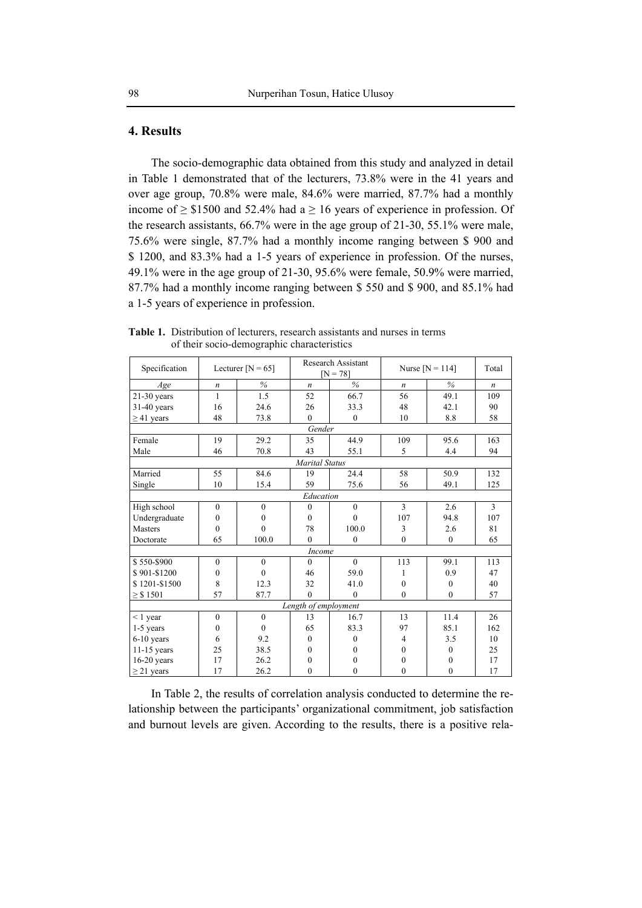# **4. Results**

The socio-demographic data obtained from this study and analyzed in detail in Table 1 demonstrated that of the lecturers, 73.8% were in the 41 years and over age group, 70.8% were male, 84.6% were married, 87.7% had a monthly income of  $\geq$  \$1500 and 52.4% had a  $\geq$  16 years of experience in profession. Of the research assistants, 66.7% were in the age group of 21-30, 55.1% were male, 75.6% were single, 87.7% had a monthly income ranging between \$ 900 and \$ 1200, and 83.3% had a 1-5 years of experience in profession. Of the nurses, 49.1% were in the age group of 21-30, 95.6% were female, 50.9% were married, 87.7% had a monthly income ranging between \$ 550 and \$ 900, and 85.1% had a 1-5 years of experience in profession.

| Specification   |                  | Lecturer $[N = 65]$ |                       | Research Assistant<br>$[N = 78]$ |                  | Nurse $[N = 114]$ | Total            |
|-----------------|------------------|---------------------|-----------------------|----------------------------------|------------------|-------------------|------------------|
| Age             | $\boldsymbol{n}$ | $\%$                | $\boldsymbol{n}$      | $\frac{0}{6}$                    | $\boldsymbol{n}$ | $\%$              | $\boldsymbol{n}$ |
| $21-30$ years   | 1                | 1.5                 | 52                    | 66.7                             | 56               | 49.1              | 109              |
| $31-40$ years   | 16               | 24.6                | 26                    | 33.3                             | 48               | 42.1              | 90               |
| $\geq$ 41 years | 48               | 73.8                | $\theta$              | $\boldsymbol{0}$                 | 10               | 8.8               | 58               |
|                 |                  |                     | Gender                |                                  |                  |                   |                  |
| Female          | 19               | 29.2                | 35                    | 44.9                             | 109              | 95.6              | 163              |
| Male            | 46               | 70.8                | 43                    | 55.1                             | 5                | 4.4               | 94               |
|                 |                  |                     | <b>Marital Status</b> |                                  |                  |                   |                  |
| Married         | 55               | 84.6                | 19                    | 24.4                             | 58               | 50.9              | 132              |
| Single          | 10               | 15.4                | 59                    | 75.6                             | 56               | 49.1              | 125              |
|                 |                  |                     | Education             |                                  |                  |                   |                  |
| High school     | $\mathbf{0}$     | $\mathbf{0}$        | $\theta$              | $\mathbf{0}$                     | 3                | 2.6               | 3                |
| Undergraduate   | $\mathbf{0}$     | $\boldsymbol{0}$    | $\theta$              | $\mathbf{0}$                     | 107              | 94.8              | 107              |
| <b>Masters</b>  | $\theta$         | $\theta$            | 78                    | 100.0                            | 3                | 2.6               | 81               |
| Doctorate       | 65               | 100.0               | $\theta$              | $\mathbf{0}$                     | $\theta$         | $\theta$          | 65               |
|                 |                  |                     | Income                |                                  |                  |                   |                  |
| \$550-\$900     | $\mathbf{0}$     | $\mathbf{0}$        | $\mathbf{0}$          | $\mathbf{0}$                     | 113              | 99.1              | 113              |
| \$901-\$1200    | $\theta$         | $\theta$            | 46                    | 59.0                             | 1                | 0.9               | 47               |
| \$1201-\$1500   | 8                | 12.3                | 32                    | 41.0                             | $\theta$         | $\Omega$          | 40               |
| $\ge$ \$ 1501   | 57               | 87.7                | $\theta$              | $\mathbf{0}$                     | $\mathbf{0}$     | $\mathbf{0}$      | 57               |
|                 |                  |                     | Length of employment  |                                  |                  |                   |                  |
| $< 1$ year      | $\mathbf{0}$     | $\mathbf{0}$        | 13                    | 16.7                             | 13               | 11.4              | 26               |
| 1-5 years       | $\mathbf{0}$     | $\theta$            | 65                    | 83.3                             | 97               | 85.1              | 162              |
| 6-10 years      | 6                | 9.2                 | $\theta$              | $\mathbf{0}$                     | 4                | 3.5               | 10               |
| $11-15$ years   | 25               | 38.5                | $\theta$              | $\Omega$                         | $\Omega$         | $\theta$          | 25               |
| $16-20$ years   | 17               | 26.2                | $\theta$              | 0                                | $\theta$         | $\Omega$          | 17               |
| $\geq$ 21 years | 17               | 26.2                | $\theta$              | $\bf{0}$                         | $\theta$         | $\theta$          | 17               |

**Table 1.** Distribution of lecturers, research assistants and nurses in terms of their socio-demographic characteristics

In Table 2, the results of correlation analysis conducted to determine the relationship between the participants' organizational commitment, job satisfaction and burnout levels are given. According to the results, there is a positive rela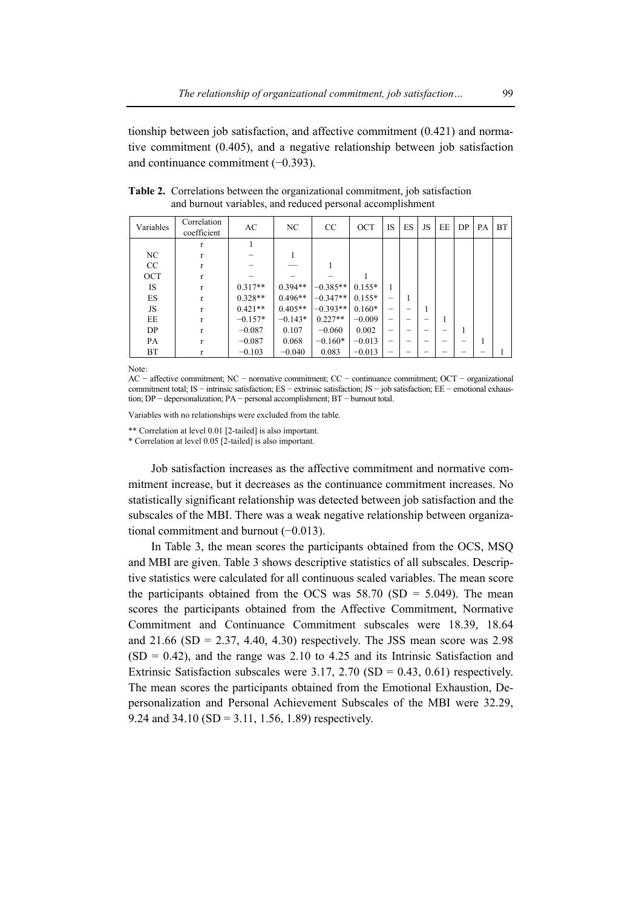tionship between job satisfaction, and affective commitment (0.421) and normative commitment (0.405), and a negative relationship between job satisfaction and continuance commitment (−0.393).

| Variables | Correlation<br>coefficient | AC        | NC.       | CC         | OCT      | <b>IS</b> | ES | <b>JS</b> | EE | DP | PА | <b>BT</b> |
|-----------|----------------------------|-----------|-----------|------------|----------|-----------|----|-----------|----|----|----|-----------|
|           | r                          |           |           |            |          |           |    |           |    |    |    |           |
| NC        | r                          |           |           |            |          |           |    |           |    |    |    |           |
| CC        | r                          |           |           |            |          |           |    |           |    |    |    |           |
| OCT       | r                          |           |           |            |          |           |    |           |    |    |    |           |
| IS        | r                          | $0.317**$ | $0.394**$ | $-0.385**$ | $0.155*$ |           |    |           |    |    |    |           |
| ES        | r                          | $0.328**$ | $0.496**$ | $-0.347**$ | $0.155*$ |           |    |           |    |    |    |           |
| JS        | r                          | $0.421**$ | $0.405**$ | $-0.393**$ | $0.160*$ | -         | -  |           |    |    |    |           |
| EE        | r                          | $-0.157*$ | $-0.143*$ | $0.227**$  | $-0.009$ | -         |    |           |    |    |    |           |
| DP        | r                          | $-0.087$  | 0.107     | $-0.060$   | 0.002    | -         | -  |           |    |    |    |           |
| PA        | r                          | $-0.087$  | 0.068     | $-0.160*$  | $-0.013$ | -         | -  |           |    |    |    |           |
| BT        | r                          | $-0.103$  | $-0.040$  | 0.083      | $-0.013$ | -         | -  |           |    |    |    |           |

**Table 2.** Correlations between the organizational commitment, job satisfaction and burnout variables, and reduced personal accomplishment

Note:

AC − affective commitment; NC − normative commitment; CC − continuance commitment; OCT − organizational commitment total; IS − intrinsic satisfaction; ES − extrinsic satisfaction; JS − job satisfaction; EE − emotional exhaustion; DP − depersonalization; PA − personal accomplishment; BT − burnout total.

Variables with no relationships were excluded from the table.

\*\* Correlation at level 0.01 [2-tailed] is also important.

\* Correlation at level 0.05 [2-tailed] is also important.

Job satisfaction increases as the affective commitment and normative commitment increase, but it decreases as the continuance commitment increases. No statistically significant relationship was detected between job satisfaction and the subscales of the MBI. There was a weak negative relationship between organizational commitment and burnout (−0.013).

In Table 3, the mean scores the participants obtained from the OCS, MSQ and MBI are given. Table 3 shows descriptive statistics of all subscales. Descriptive statistics were calculated for all continuous scaled variables. The mean score the participants obtained from the OCS was  $58.70$  (SD = 5.049). The mean scores the participants obtained from the Affective Commitment, Normative Commitment and Continuance Commitment subscales were 18.39, 18.64 and  $21.66$  (SD = 2.37, 4.40, 4.30) respectively. The JSS mean score was 2.98  $(SD = 0.42)$ , and the range was 2.10 to 4.25 and its Intrinsic Satisfaction and Extrinsic Satisfaction subscales were  $3.17, 2.70$  (SD = 0.43, 0.61) respectively. The mean scores the participants obtained from the Emotional Exhaustion, Depersonalization and Personal Achievement Subscales of the MBI were 32.29, 9.24 and 34.10 (SD = 3.11, 1.56, 1.89) respectively.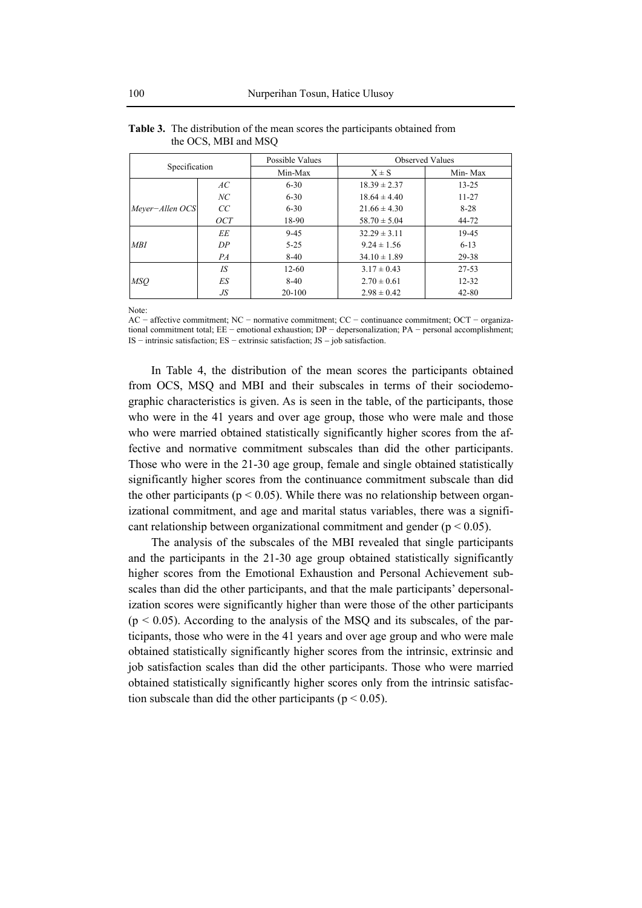|                 |     | Possible Values |                  | <b>Observed Values</b> |
|-----------------|-----|-----------------|------------------|------------------------|
| Specification   |     | Min-Max         | $X \pm S$        | Min-Max                |
|                 | AC  | $6 - 30$        | $18.39 \pm 2.37$ | $13 - 25$              |
|                 | NC  | $6 - 30$        | $18.64 \pm 4.40$ | $11 - 27$              |
| Mever-Allen OCS | CC  | $6 - 30$        | $21.66 \pm 4.30$ | $8 - 28$               |
|                 | OCT | 18-90           | $58.70 \pm 5.04$ | 44-72                  |
|                 | EЕ  | $9 - 45$        | $32.29 \pm 3.11$ | 19-45                  |
| MBI             | DP  | $5 - 25$        | $9.24 \pm 1.56$  | $6 - 13$               |
|                 | PA  | $8-40$          | $34.10 \pm 1.89$ | 29-38                  |
|                 | IS  | $12 - 60$       | $3.17 \pm 0.43$  | $27 - 53$              |
| <b>MSO</b>      | ES  | $8-40$          | $2.70 \pm 0.61$  | $12 - 32$              |
|                 | JS  | $20 - 100$      | $2.98 \pm 0.42$  | $42 - 80$              |

| <b>Table 3.</b> The distribution of the mean scores the participants obtained from |
|------------------------------------------------------------------------------------|
| the OCS, MBI and MSQ                                                               |

Note:

AC − affective commitment; NC − normative commitment; CC − continuance commitment; OCT − organizational commitment total; EE − emotional exhaustion; DP − depersonalization; PA − personal accomplishment; IS − intrinsic satisfaction; ES − extrinsic satisfaction; JS − job satisfaction.

In Table 4, the distribution of the mean scores the participants obtained from OCS, MSQ and MBI and their subscales in terms of their sociodemographic characteristics is given. As is seen in the table, of the participants, those who were in the 41 years and over age group, those who were male and those who were married obtained statistically significantly higher scores from the affective and normative commitment subscales than did the other participants. Those who were in the 21-30 age group, female and single obtained statistically significantly higher scores from the continuance commitment subscale than did the other participants ( $p < 0.05$ ). While there was no relationship between organizational commitment, and age and marital status variables, there was a significant relationship between organizational commitment and gender ( $p < 0.05$ ).

The analysis of the subscales of the MBI revealed that single participants and the participants in the 21-30 age group obtained statistically significantly higher scores from the Emotional Exhaustion and Personal Achievement subscales than did the other participants, and that the male participants' depersonalization scores were significantly higher than were those of the other participants  $(p \le 0.05)$ . According to the analysis of the MSO and its subscales, of the participants, those who were in the 41 years and over age group and who were male obtained statistically significantly higher scores from the intrinsic, extrinsic and job satisfaction scales than did the other participants. Those who were married obtained statistically significantly higher scores only from the intrinsic satisfaction subscale than did the other participants ( $p < 0.05$ ).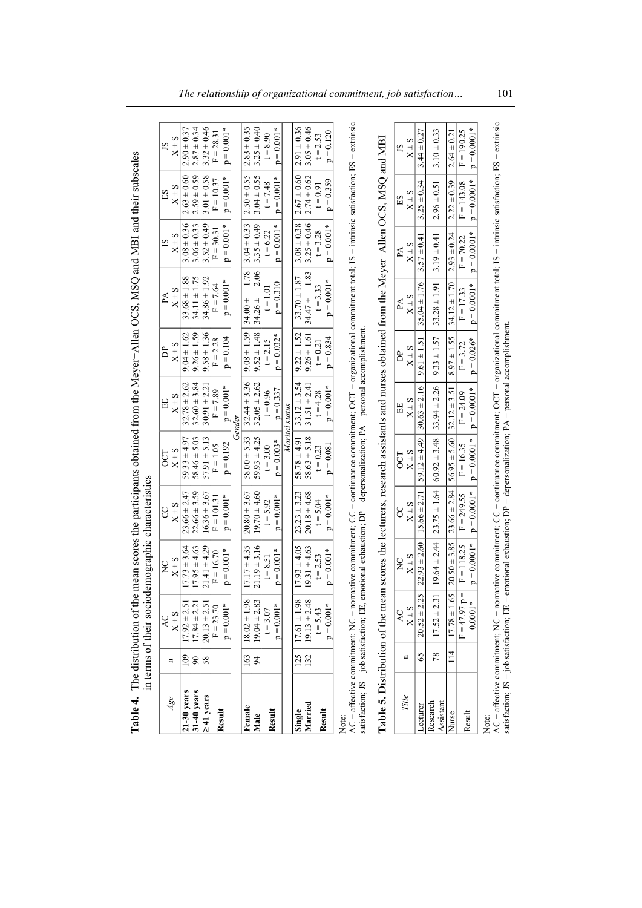| Table 4. The distribution of the mean scores the participants obtained from the Meyer-Allen OCS, MSQ and MBI and their subscales                                                           |          | in terms of their sociodemographic characteristics           |                               |                                  |                                  |                              |                                         |                              |                              |                                  |                               |
|--------------------------------------------------------------------------------------------------------------------------------------------------------------------------------------------|----------|--------------------------------------------------------------|-------------------------------|----------------------------------|----------------------------------|------------------------------|-----------------------------------------|------------------------------|------------------------------|----------------------------------|-------------------------------|
| Age                                                                                                                                                                                        | n        | $X \pm S$<br>Q                                               | $X \pm S$<br>$\frac{C}{Z}$    | $X \pm S$<br>g                   | $X \pm S$<br>CT                  | $X \pm S$<br>EE              | $X \pm S$<br>চ্ৰ                        | $X \pm S$<br>A               | $X \pm S$<br>51              | S<br>E <sub>S</sub><br>$X^{\pm}$ | $X \pm S$<br>SÍ               |
| $21-30$ years                                                                                                                                                                              | $^{109}$ | $17.92 \pm 2.51$                                             | $17.73 \pm 3.64$              | $23.66 \pm 2.47$                 | $59.33 \pm 4.97$                 | $32.78 \pm 2.62$             | $9.04 \pm 1.62$                         | $33.68 \pm 1.88$             | $3.08 \pm 0.36$              | $2.63 \pm 0.60$                  | $2.90 \pm 0.37$               |
| $31-40$ years                                                                                                                                                                              | $\infty$ | $17.84 \pm 2.21$                                             | $17.95 \pm 4.63$              | $22.66 \pm 3.59$                 | $58.46 \pm 5.03$                 | $32.60 \pm 3.84$             | $9.26 \pm 1.59$                         | $34.11 \pm 1.75$             | $3.06 \pm 0.33$              | $2.59 \pm 0.59$                  | $2.87 \pm 0.34$               |
| $\geq$ 41 years                                                                                                                                                                            | 58       | $20.13 \pm 2.51$                                             | $21.41 \pm 4.29$              | $16.36 \pm 3.67$                 | $57.91 \pm 5.13$                 | $30.91 \pm 2.21$             | $9.58 \pm 1.36$                         | $34.86 \pm 1.92$             | $3.52 \pm 0.49$              | $3.01 \pm 0.58$                  | $3.32 \pm 0.46$               |
|                                                                                                                                                                                            |          | $F = 23.70$                                                  | $F = 16.70$                   | $F = 101.31$                     | $F = 1.05$                       | $F = 7.89$                   | $F = 2.28$                              | $F = 7.64$                   | $F = 30.31$                  | $F = 10.37$                      | $F = 28.31$                   |
| Result                                                                                                                                                                                     |          | $p = 0.001*$                                                 | $= 0.001*$                    | $= 0.001*$<br>$\mathbf{a}$       | $= 0.192$<br>$\mathbf{a}$        | $= 0.001*$                   | $p = 0.104$                             | $p = 0.001*$                 | $= 0.001*$                   | $= 0.001*$<br>$\mathbf{a}$       | $= 0.001*$<br>¢               |
|                                                                                                                                                                                            |          |                                                              |                               |                                  |                                  | Gender                       |                                         |                              |                              |                                  |                               |
| Female                                                                                                                                                                                     | 163      | $18.02 \pm 1.98$                                             | $17.17 \pm 4.35$              | $20.80 \pm 3.67$                 | $58.00 \pm 5.33$                 | $32.44 \pm 3.36$             | $9.08 \pm 1.59$                         | 1.78<br>$34.00 +$            | $3.04 \pm 0.33$              | $2.50 \pm 0.55$                  | $2.83 \pm 0.35$               |
| Male                                                                                                                                                                                       | 94       | $19.04 \pm 2.83$                                             | $21.19 \pm 3.16$              | $19.70 \pm 4.60$                 | $59.93 \pm 4.25$                 | $32.05 \pm 2.62$             | $9.52 \pm 1.48$                         | 2.06<br>$34.26 \pm$          | $3.35 \pm 0.49$              | $3.04 \pm 0.55$                  | $3.25 \pm 0.40$               |
|                                                                                                                                                                                            |          | $t = 3.07$                                                   | $t = 8.51$                    | $t = 5.92$                       | $t = 3.00$                       | $t = 0.96$                   | $t = 2.15$                              | $t = 1.01$                   | $t = 6.22$                   | $t = 7.48$                       | $t = 8.90$                    |
| Result                                                                                                                                                                                     |          | $p = 0.001*$                                                 | $= 0.001*$                    | $= 0.001*$<br>$\mathbf{a}$       | $0.003*$<br>$\lvert \rvert$<br>≏ | $p = 0.337$                  | $= 0.032*$<br>$\mathbf{a}$              | $p = 0.310$                  | $= 0.001*$                   | $= 0.001*$<br>$\mathbf{c}$       | $= 0.001*$<br>$\mathbf{a}$    |
|                                                                                                                                                                                            |          |                                                              |                               |                                  | Marital                          | status                       |                                         |                              |                              |                                  |                               |
| Single                                                                                                                                                                                     | 125      | $17.61 \pm 1.98$                                             | $17.93 \pm 4.05$              | $23.23 \pm 3.23$                 | $58.78 \pm 4.91$                 | $33.12 \pm 3.54$             | $9.22 \pm 1.52$                         | $33.70 \pm 1.87$             | $3.08 \pm 0.38$              | $2.67 \pm 0.60$                  | $2.91 \pm 0.36$               |
| Married                                                                                                                                                                                    | 132      | $19.13 \pm 2.48$                                             | $19.31 + 4.63$                | $20.18 \pm 4.68$                 | $58.63 \pm 5.18$                 | $31.51 \pm 2.41$             | $9.26 \pm 1.61$                         | $34.47 \pm 1.83$             | $3.25 \pm 0.46$              | $2.74 \pm 0.62$                  | $3.05 \pm 0.46$               |
|                                                                                                                                                                                            |          | $t = 5.43$                                                   | $t = 2.53$                    | $t = 5.04$                       | $t = 0.23$                       | $t = 4.28$                   | $t = 0.21$                              | $t = 3.33$                   | $t = 3.28$                   | $t = 0.91$                       | $t = 2.53$                    |
| Result                                                                                                                                                                                     |          | $p = 0.001*$                                                 | $= 0.001*$                    | $= 0.001*$<br>Ω                  | $= 0.081$                        | $= 0.001*$<br>Ω              | $p = 0.834$                             | $p = 0.001*$                 | $= 0.001*$                   | $p = 0.359$                      | $p = 0.120$                   |
| $AC -$ affective commitment; $NC -$ normative commitment; $CC -$ continuance commitment; $OCT -$ organizational commitment total; $IS -$ intrinsic satisfaction; $ES -$ extrinsic<br>Note: |          |                                                              |                               |                                  |                                  |                              |                                         |                              |                              |                                  |                               |
| satisfaction; $JS - job$ satisfaction; EE, emotional exhaustion; $DP - dep$ expandization; $PA - personal$ accomplishment                                                                  |          |                                                              |                               |                                  |                                  |                              |                                         |                              |                              |                                  |                               |
| <b>Table 5.</b> Distribution of the mean scores the lecturers, research assistants and nurses obtained from the Meyer-Allen OCS, MSQ and MBI                                               |          |                                                              |                               |                                  |                                  |                              |                                         |                              |                              |                                  |                               |
|                                                                                                                                                                                            |          | QV                                                           | $\overline{z}$                | ႘                                | <b>CCT</b>                       | EE                           | È                                       | $P\Lambda$                   | Å                            | ES                               | 5                             |
| Title                                                                                                                                                                                      | n        | $X \pm S$                                                    | $X \pm S$                     | $X \pm S$                        | $X \pm S$                        | $X \pm S$                    | $X \pm S$                               | $X \pm S$                    | $X \pm S$                    | $X \pm S$                        | $X \pm S$                     |
| <b>ecturer</b>                                                                                                                                                                             | 65       | $20.52 \pm 2.25$                                             | $22.93 \pm 2.60$              | $5.66 \pm 2.7$                   | 59.12 $\pm$ 4.49                 | $30.63 \pm 2.16$             | $\frac{1.51}{1}$<br>$\overline{6}$<br>Ö | $35.04 \pm 1.76$             | $3.57 \pm 0.4$               | $.25 \pm 0.34$                   | $44 \pm 0.27$                 |
| Research<br>Assistant                                                                                                                                                                      | 78       | $17.52 \pm 2.31$                                             | $19.64 \pm 2.44$              | $23.75 \pm 1.64$                 | $60.92 \pm 3.48$                 | $33.94 \pm 2.26$             | $9.33 \pm 1.57$                         | $33.28 \pm 1.91$             | $3.19 \pm 0.41$              | $2.96 \pm 0.51$                  | $3.10 \pm 0.33$               |
| Nurse                                                                                                                                                                                      | 114      | $17.78 \pm 1.65$                                             | $20.50 \pm 3.85$              | $23.66 \pm 2.84$                 | $56.95 \pm 5.60$                 | $32.12 \pm 3.5$              | $8.97 \pm 1.55$                         | $34.12 \pm 1.70$             | $2.93 \pm 0.24$              | $2.22 \pm 0.39$                  | $2.64 \pm 0.21$               |
| Result                                                                                                                                                                                     |          | $\, \parallel$<br>$*10000$<br>= d $\angle 6\angle t = \pm 1$ | $p = 0.0001*$<br>$F = 118.25$ | $p = 0.0001*$<br>$= 249.55$<br>E | $p = 0.0001*$<br>$F = 16.35$     | $p = 0.0001*$<br>$F = 24.09$ | $p = 0.026*$<br>$F = 3.72$              | $p = 0.0001*$<br>$F = 17.33$ | $p = 0.0001*$<br>$F = 70.22$ | $p = 0.0001*$<br>$F = 143.08$    | $p = 0.0001*$<br>$F = 190.25$ |
|                                                                                                                                                                                            |          |                                                              |                               |                                  |                                  |                              |                                         |                              |                              |                                  |                               |

Note:<br>AC – affective commitment, NC – normative commitment, CC – continuance commitment; OCT – organizational commitment total; IS – intrinsic satisfaction; ES – extrinsic<br>satisfaction; JS – job satisfaction; EE – emotiona AC − affective commitment; NC − normative commitment; CC − continuance commitment; OCT − organizational commitment total; IS − intrinsic satisfaction; ES − extrinsic satisfaction; JS − job satisfaction; EE − emotional exhaustion; DP − depersonalization; PA − personal accomplishment.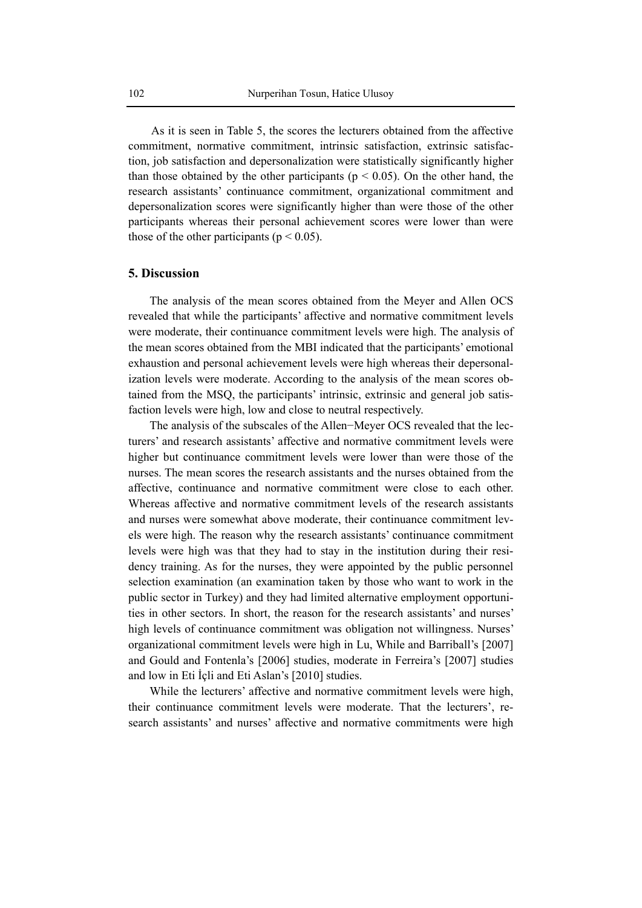As it is seen in Table 5, the scores the lecturers obtained from the affective commitment, normative commitment, intrinsic satisfaction, extrinsic satisfaction, job satisfaction and depersonalization were statistically significantly higher than those obtained by the other participants ( $p < 0.05$ ). On the other hand, the research assistants' continuance commitment, organizational commitment and depersonalization scores were significantly higher than were those of the other participants whereas their personal achievement scores were lower than were those of the other participants ( $p < 0.05$ ).

# **5. Discussion**

The analysis of the mean scores obtained from the Meyer and Allen OCS revealed that while the participants' affective and normative commitment levels were moderate, their continuance commitment levels were high. The analysis of the mean scores obtained from the MBI indicated that the participants' emotional exhaustion and personal achievement levels were high whereas their depersonalization levels were moderate. According to the analysis of the mean scores obtained from the MSQ, the participants' intrinsic, extrinsic and general job satisfaction levels were high, low and close to neutral respectively.

The analysis of the subscales of the Allen−Meyer OCS revealed that the lecturers' and research assistants' affective and normative commitment levels were higher but continuance commitment levels were lower than were those of the nurses. The mean scores the research assistants and the nurses obtained from the affective, continuance and normative commitment were close to each other. Whereas affective and normative commitment levels of the research assistants and nurses were somewhat above moderate, their continuance commitment levels were high. The reason why the research assistants' continuance commitment levels were high was that they had to stay in the institution during their residency training. As for the nurses, they were appointed by the public personnel selection examination (an examination taken by those who want to work in the public sector in Turkey) and they had limited alternative employment opportunities in other sectors. In short, the reason for the research assistants' and nurses' high levels of continuance commitment was obligation not willingness. Nurses' organizational commitment levels were high in Lu, While and Barriball's [2007] and Gould and Fontenla's [2006] studies, moderate in Ferreira's [2007] studies and low in Eti İçli and Eti Aslan's [2010] studies.

While the lecturers' affective and normative commitment levels were high, their continuance commitment levels were moderate. That the lecturers', research assistants' and nurses' affective and normative commitments were high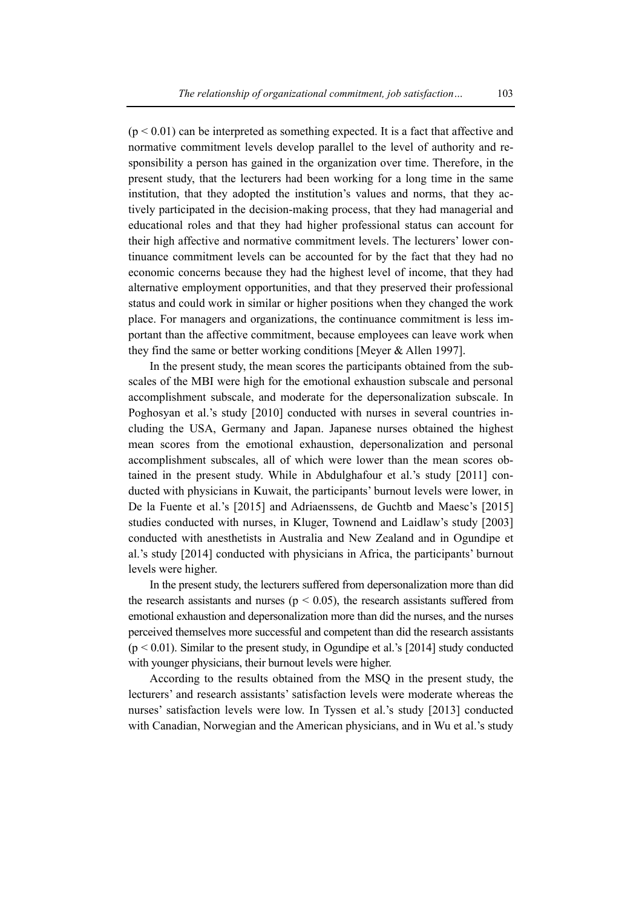$(p < 0.01)$  can be interpreted as something expected. It is a fact that affective and normative commitment levels develop parallel to the level of authority and responsibility a person has gained in the organization over time. Therefore, in the present study, that the lecturers had been working for a long time in the same institution, that they adopted the institution's values and norms, that they actively participated in the decision-making process, that they had managerial and educational roles and that they had higher professional status can account for their high affective and normative commitment levels. The lecturers' lower continuance commitment levels can be accounted for by the fact that they had no economic concerns because they had the highest level of income, that they had alternative employment opportunities, and that they preserved their professional status and could work in similar or higher positions when they changed the work place. For managers and organizations, the continuance commitment is less important than the affective commitment, because employees can leave work when they find the same or better working conditions [Meyer & Allen 1997].

In the present study, the mean scores the participants obtained from the subscales of the MBI were high for the emotional exhaustion subscale and personal accomplishment subscale, and moderate for the depersonalization subscale. In Poghosyan et al.'s study [2010] conducted with nurses in several countries including the USA, Germany and Japan. Japanese nurses obtained the highest mean scores from the emotional exhaustion, depersonalization and personal accomplishment subscales, all of which were lower than the mean scores obtained in the present study. While in Abdulghafour et al.'s study [2011] conducted with physicians in Kuwait, the participants' burnout levels were lower, in De la Fuente et al.'s [2015] and Adriaenssens, de Guchtb and Maesc's [2015] studies conducted with nurses, in Kluger, Townend and Laidlaw's study [2003] conducted with anesthetists in Australia and New Zealand and in Ogundipe et al.'s study [2014] conducted with physicians in Africa, the participants' burnout levels were higher.

In the present study, the lecturers suffered from depersonalization more than did the research assistants and nurses ( $p < 0.05$ ), the research assistants suffered from emotional exhaustion and depersonalization more than did the nurses, and the nurses perceived themselves more successful and competent than did the research assistants  $(p < 0.01)$ . Similar to the present study, in Ogundipe et al.'s [2014] study conducted with younger physicians, their burnout levels were higher.

According to the results obtained from the MSQ in the present study, the lecturers' and research assistants' satisfaction levels were moderate whereas the nurses' satisfaction levels were low. In Tyssen et al.'s study [2013] conducted with Canadian, Norwegian and the American physicians, and in Wu et al.'s study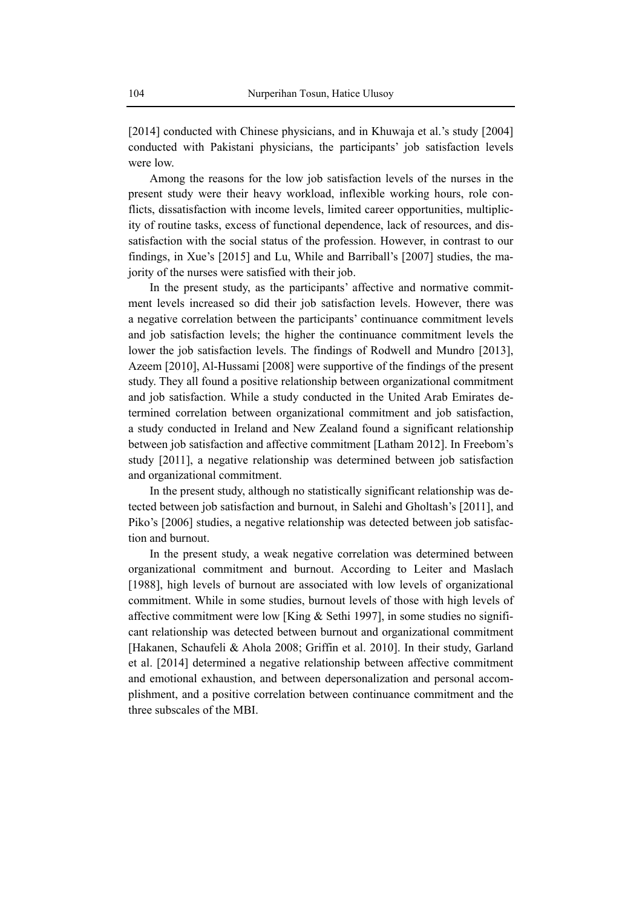[2014] conducted with Chinese physicians, and in Khuwaja et al.'s study [2004] conducted with Pakistani physicians, the participants' job satisfaction levels were low.

Among the reasons for the low job satisfaction levels of the nurses in the present study were their heavy workload, inflexible working hours, role conflicts, dissatisfaction with income levels, limited career opportunities, multiplicity of routine tasks, excess of functional dependence, lack of resources, and dissatisfaction with the social status of the profession. However, in contrast to our findings, in Xue's [2015] and Lu, While and Barriball's [2007] studies, the majority of the nurses were satisfied with their job.

In the present study, as the participants' affective and normative commitment levels increased so did their job satisfaction levels. However, there was a negative correlation between the participants' continuance commitment levels and job satisfaction levels; the higher the continuance commitment levels the lower the job satisfaction levels. The findings of Rodwell and Mundro [2013], Azeem [2010], Al-Hussami [2008] were supportive of the findings of the present study. They all found a positive relationship between organizational commitment and job satisfaction. While a study conducted in the United Arab Emirates determined correlation between organizational commitment and job satisfaction, a study conducted in Ireland and New Zealand found a significant relationship between job satisfaction and affective commitment [Latham 2012]. In Freebom's study [2011], a negative relationship was determined between job satisfaction and organizational commitment.

In the present study, although no statistically significant relationship was detected between job satisfaction and burnout, in Salehi and Gholtash's [2011], and Piko's [2006] studies, a negative relationship was detected between job satisfaction and burnout.

In the present study, a weak negative correlation was determined between organizational commitment and burnout. According to Leiter and Maslach [1988], high levels of burnout are associated with low levels of organizational commitment. While in some studies, burnout levels of those with high levels of affective commitment were low [King & Sethi 1997], in some studies no significant relationship was detected between burnout and organizational commitment [Hakanen, Schaufeli & Ahola 2008; Griffin et al. 2010]. In their study, Garland et al. [2014] determined a negative relationship between affective commitment and emotional exhaustion, and between depersonalization and personal accomplishment, and a positive correlation between continuance commitment and the three subscales of the MBI.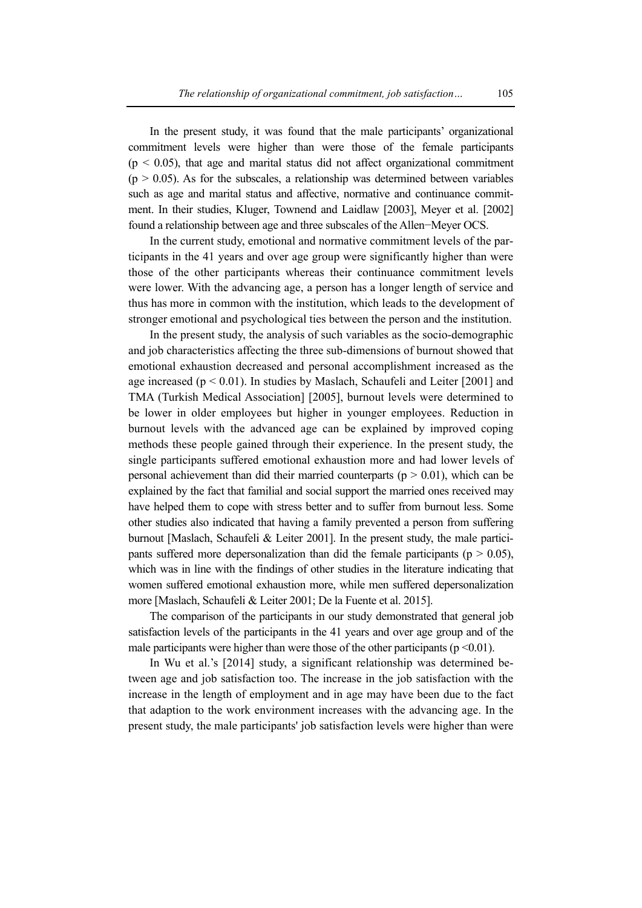In the present study, it was found that the male participants' organizational commitment levels were higher than were those of the female participants  $(p < 0.05)$ , that age and marital status did not affect organizational commitment  $(p > 0.05)$ . As for the subscales, a relationship was determined between variables such as age and marital status and affective, normative and continuance commitment. In their studies, Kluger, Townend and Laidlaw [2003], Meyer et al. [2002] found a relationship between age and three subscales of the Allen−Meyer OCS.

In the current study, emotional and normative commitment levels of the participants in the 41 years and over age group were significantly higher than were those of the other participants whereas their continuance commitment levels were lower. With the advancing age, a person has a longer length of service and thus has more in common with the institution, which leads to the development of stronger emotional and psychological ties between the person and the institution.

In the present study, the analysis of such variables as the socio-demographic and job characteristics affecting the three sub-dimensions of burnout showed that emotional exhaustion decreased and personal accomplishment increased as the age increased ( $p < 0.01$ ). In studies by Maslach, Schaufeli and Leiter [2001] and TMA (Turkish Medical Association] [2005], burnout levels were determined to be lower in older employees but higher in younger employees. Reduction in burnout levels with the advanced age can be explained by improved coping methods these people gained through their experience. In the present study, the single participants suffered emotional exhaustion more and had lower levels of personal achievement than did their married counterparts ( $p > 0.01$ ), which can be explained by the fact that familial and social support the married ones received may have helped them to cope with stress better and to suffer from burnout less. Some other studies also indicated that having a family prevented a person from suffering burnout [Maslach, Schaufeli & Leiter 2001]. In the present study, the male participants suffered more depersonalization than did the female participants ( $p > 0.05$ ), which was in line with the findings of other studies in the literature indicating that women suffered emotional exhaustion more, while men suffered depersonalization more [Maslach, Schaufeli & Leiter 2001; De la Fuente et al. 2015].

The comparison of the participants in our study demonstrated that general job satisfaction levels of the participants in the 41 years and over age group and of the male participants were higher than were those of the other participants ( $p \le 0.01$ ).

In Wu et al.'s [2014] study, a significant relationship was determined between age and job satisfaction too. The increase in the job satisfaction with the increase in the length of employment and in age may have been due to the fact that adaption to the work environment increases with the advancing age. In the present study, the male participants' job satisfaction levels were higher than were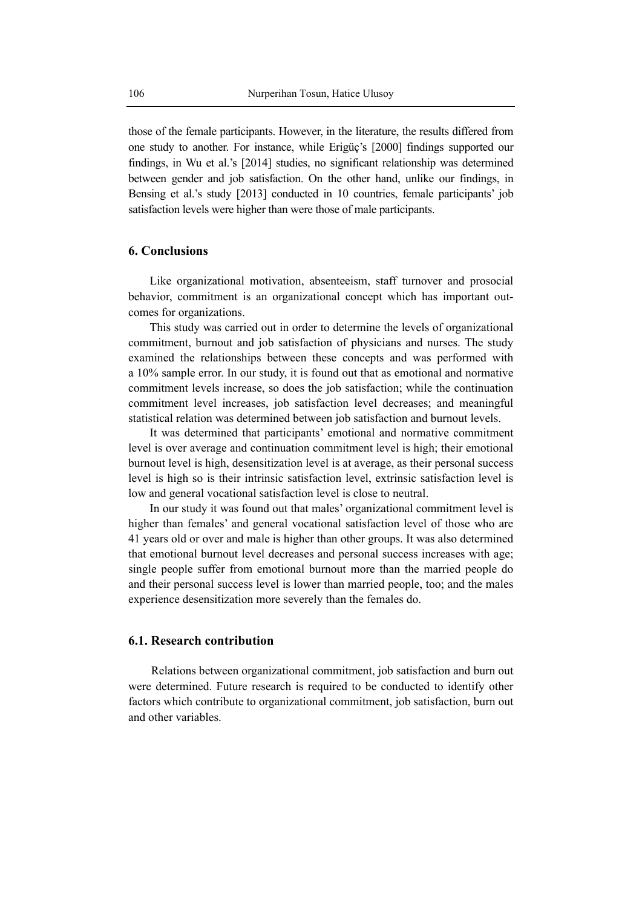those of the female participants. However, in the literature, the results differed from one study to another. For instance, while Erigüç's [2000] findings supported our findings, in Wu et al.'s [2014] studies, no significant relationship was determined between gender and job satisfaction. On the other hand, unlike our findings, in Bensing et al.'s study [2013] conducted in 10 countries, female participants' job satisfaction levels were higher than were those of male participants.

#### **6. Conclusions**

Like organizational motivation, absenteeism, staff turnover and prosocial behavior, commitment is an organizational concept which has important outcomes for organizations.

This study was carried out in order to determine the levels of organizational commitment, burnout and job satisfaction of physicians and nurses. The study examined the relationships between these concepts and was performed with a 10% sample error. In our study, it is found out that as emotional and normative commitment levels increase, so does the job satisfaction; while the continuation commitment level increases, job satisfaction level decreases; and meaningful statistical relation was determined between job satisfaction and burnout levels.

It was determined that participants' emotional and normative commitment level is over average and continuation commitment level is high; their emotional burnout level is high, desensitization level is at average, as their personal success level is high so is their intrinsic satisfaction level, extrinsic satisfaction level is low and general vocational satisfaction level is close to neutral.

In our study it was found out that males' organizational commitment level is higher than females' and general vocational satisfaction level of those who are 41 years old or over and male is higher than other groups. It was also determined that emotional burnout level decreases and personal success increases with age; single people suffer from emotional burnout more than the married people do and their personal success level is lower than married people, too; and the males experience desensitization more severely than the females do.

# **6.1. Research contribution**

Relations between organizational commitment, job satisfaction and burn out were determined. Future research is required to be conducted to identify other factors which contribute to organizational commitment, job satisfaction, burn out and other variables.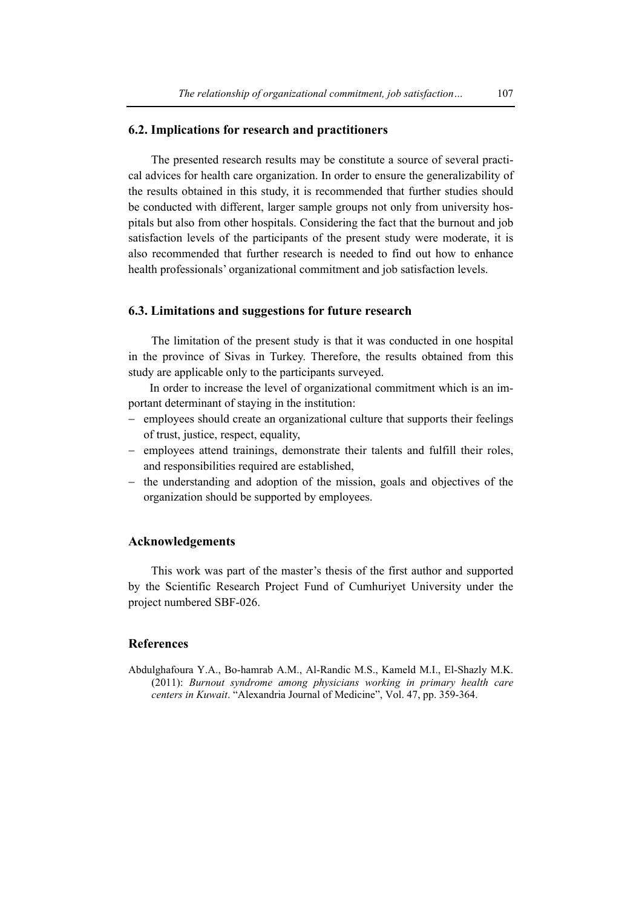#### **6.2. Implications for research and practitioners**

The presented research results may be constitute a source of several practical advices for health care organization. In order to ensure the generalizability of the results obtained in this study, it is recommended that further studies should be conducted with different, larger sample groups not only from university hospitals but also from other hospitals. Considering the fact that the burnout and job satisfaction levels of the participants of the present study were moderate, it is also recommended that further research is needed to find out how to enhance health professionals' organizational commitment and job satisfaction levels.

#### **6.3. Limitations and suggestions for future research**

The limitation of the present study is that it was conducted in one hospital in the province of Sivas in Turkey. Therefore, the results obtained from this study are applicable only to the participants surveyed.

In order to increase the level of organizational commitment which is an important determinant of staying in the institution:

- − employees should create an organizational culture that supports their feelings of trust, justice, respect, equality,
- − employees attend trainings, demonstrate their talents and fulfill their roles, and responsibilities required are established,
- − the understanding and adoption of the mission, goals and objectives of the organization should be supported by employees.

### **Acknowledgements**

This work was part of the master's thesis of the first author and supported by the Scientific Research Project Fund of Cumhuriyet University under the project numbered SBF-026.

#### **References**

Abdulghafoura Y.A., Bo-hamrab A.M., Al-Randic M.S., Kameld M.I., El-Shazly M.K. (2011): *Burnout syndrome among physicians working in primary health care centers in Kuwait*. "Alexandria Journal of Medicine", Vol. 47, pp. 359-364.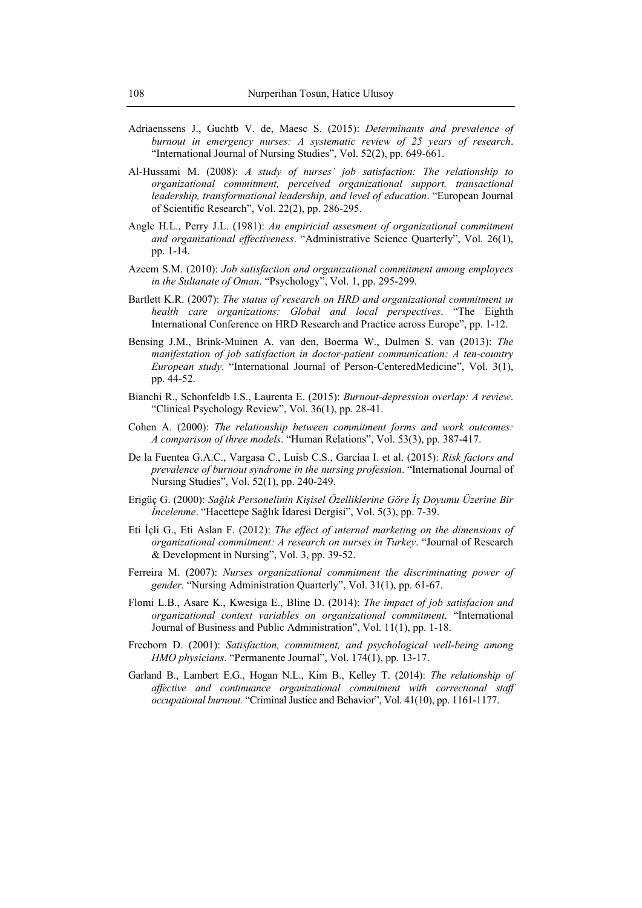- Adriaenssens J., Guchtb V. de, Maesc S. (2015): *Determinants and prevalence of burnout in emergency nurses: A systematic review of 25 years of research*. "International Journal of Nursing Studies", Vol. 52(2), pp. 649-661.
- Al-Hussami M. (2008): *A study of nurses' job satisfaction: The relationship to organizational commitment, perceived organizational support, transactional leadership, transformational leadership, and level of education*. "European Journal of Scientific Research", Vol. 22(2), pp. 286-295.
- Angle H.L., Perry J.L. (1981): *An empiricial assesment of organizational commitment and organizational effectiveness*. "Administrative Science Quarterly", Vol. 26(1), pp. 1-14.
- Azeem S.M. (2010): *Job satisfaction and organizational commitment among employees in the Sultanate of Oman*. "Psychology", Vol. 1, pp. 295-299.
- Bartlett K.R. (2007): *The status of research on HRD and organizational commitment ın health care organizations: Global and local perspectives*. "The Eighth International Conference on HRD Research and Practice across Europe", pp. 1-12.
- Bensing J.M., Brink-Muinen A. van den, Boerma W., Dulmen S. van (2013): *The manifestation of job satisfaction in doctor-patient communication: A ten-country European study*. "International Journal of Person-CenteredMedicine", Vol. 3(1), pp. 44-52.
- Bianchi R., Schonfeldb I.S., Laurenta E. (2015): *Burnout-depression overlap: A review*. "Clinical Psychology Review", Vol. 36(1), pp. 28-41.
- Cohen A. (2000): *The relationship between commitment forms and work outcomes: A comparison of three models*. "Human Relations", Vol. 53(3), pp. 387-417.
- De la Fuentea G.A.C., Vargasa C., Luisb C.S., Garcíaa I. et al. (2015): *Risk factors and prevalence of burnout syndrome in the nursing profession*. "International Journal of Nursing Studies", Vol. 52(1), pp. 240-249.
- Erigüç G. (2000): *Sağlık Personelinin Kişisel Özelliklerine Göre İş Doyumu Üzerine Bir İncelenme*. "Hacettepe Sağlık İdaresi Dergisi", Vol. 5(3), pp. 7-39.
- Eti İçli G., Eti Aslan F. (2012): *The effect of ınternal marketing on the dimensions of organizational commitment: A research on nurses in Turkey*. "Journal of Research & Development in Nursing", Vol. 3, pp. 39-52.
- Ferreira M. (2007): *Nurses organizational commitment the discriminating power of gender*. "Nursing Administration Quarterly", Vol. 31(1), pp. 61-67.
- Flomi L.B., Asare K., Kwesiga E., Bline D. (2014): *The impact of job satisfacion and organizational context variables on organizational commitment*. "International Journal of Business and Public Administration", Vol. 11(1), pp. 1-18.
- Freeborn D. (2001): *Satisfaction, commitment, and psychological well-being among HMO physicians*. "Permanente Journal", Vol. 174(1), pp. 13-17.
- Garland B., Lambert E.G., Hogan N.L., Kim B., Kelley T. (2014): *The relationship of affective and continuance organizational commitment with correctional staff occupational burnout.* "Criminal Justice and Behavior", Vol. 41(10), pp. 1161-1177.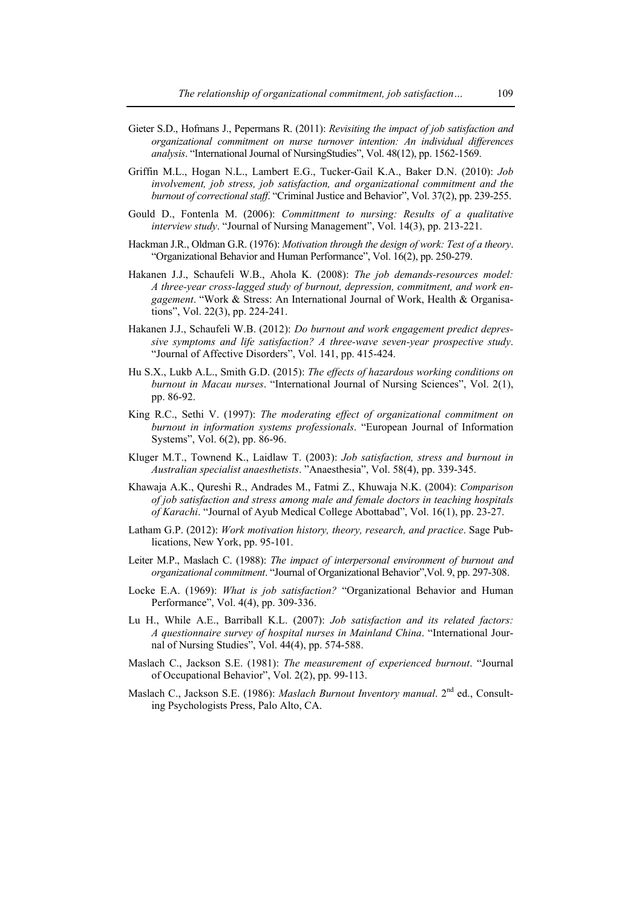- Gieter S.D., Hofmans J., Pepermans R. (2011): *Revisiting the impact of job satisfaction and organizational commitment on nurse turnover intention: An individual differences analysis*. "International Journal of NursingStudies", Vol. 48(12), pp. 1562-1569.
- Griffin M.L., Hogan N.L., Lambert E.G., Tucker-Gail K.A., Baker D.N. (2010): *Job involvement, job stress, job satisfaction, and organizational commitment and the burnout of correctional staff*. "Criminal Justice and Behavior", Vol. 37(2), pp. 239-255.
- Gould D., Fontenla M. (2006): *Committment to nursing: Results of a qualitative interview study*. "Journal of Nursing Management", Vol. 14(3), pp. 213-221.
- Hackman J.R., Oldman G.R. (1976): *Motivation through the design of work: Test of a theory*. "Organizational Behavior and Human Performance", Vol. 16(2), pp. 250-279.
- Hakanen J.J., Schaufeli W.B., Ahola K. (2008): *The job demands-resources model: A three-year cross-lagged study of burnout, depression, commitment, and work engagement*. "Work & Stress: An International Journal of Work, Health & Organisations", Vol. 22(3), pp. 224-241.
- Hakanen J.J., Schaufeli W.B. (2012): *Do burnout and work engagement predict depressive symptoms and life satisfaction? A three-wave seven-year prospective study*. "Journal of Affective Disorders", Vol. 141, pp. 415-424.
- Hu S.X., Lukb A.L., Smith G.D. (2015): *The effects of hazardous working conditions on burnout in Macau nurses*. "International Journal of Nursing Sciences", Vol. 2(1), pp. 86-92.
- King R.C., Sethi V. (1997): *The moderating effect of organizational commitment on burnout in information systems professionals*. "European Journal of Information Systems", Vol. 6(2), pp. 86-96.
- Kluger M.T., Townend K., Laidlaw T. (2003): *Job satisfaction, stress and burnout in Australian specialist anaesthetists*. "Anaesthesia", Vol. 58(4), pp. 339-345.
- Khawaja A.K., Qureshi R., Andrades M., Fatmi Z., Khuwaja N.K. (2004): *Comparison of job satisfaction and stress among male and female doctors in teaching hospitals of Karachi*. "Journal of Ayub Medical College Abottabad", Vol. 16(1), pp. 23-27.
- Latham G.P. (2012): *Work motivation history, theory, research, and practice*. Sage Publications, New York, pp. 95-101.
- Leiter M.P., Maslach C. (1988): *The impact of interpersonal environment of burnout and organizational commitment*. "Journal of Organizational Behavior",Vol. 9, pp. 297-308.
- Locke E.A. (1969): *What is job satisfaction?* "Organizational Behavior and Human Performance", Vol. 4(4), pp. 309-336.
- Lu H., While A.E., Barriball K.L. (2007): *Job satisfaction and its related factors: A questionnaire survey of hospital nurses in Mainland China*. "International Journal of Nursing Studies", Vol. 44(4), pp. 574-588.
- Maslach C., Jackson S.E. (1981): *The measurement of experienced burnout*. "Journal of Occupational Behavior", Vol. 2(2), pp. 99-113.
- Maslach C., Jackson S.E. (1986): *Maslach Burnout Inventory manual*. 2<sup>nd</sup> ed., Consulting Psychologists Press, Palo Alto, CA.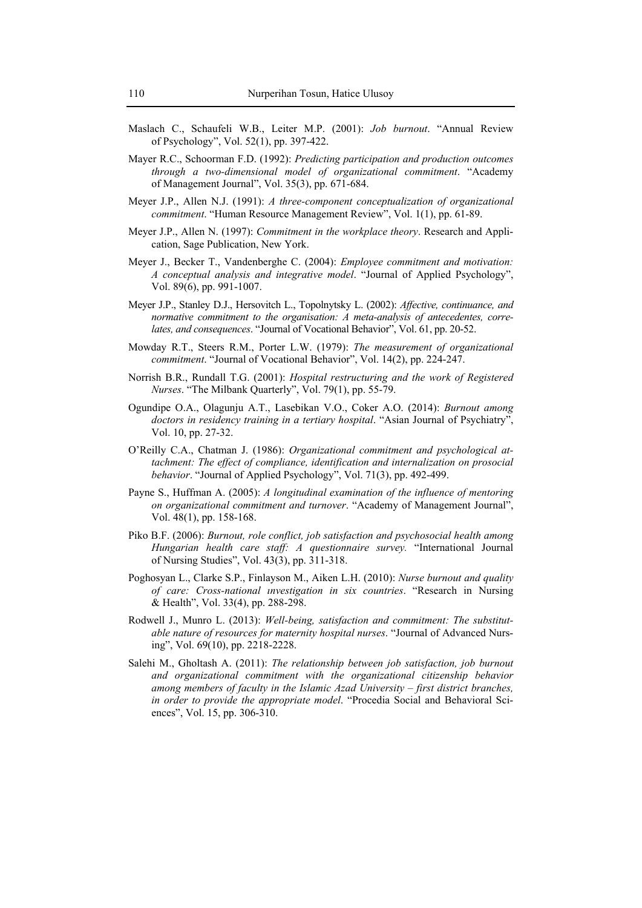- Maslach C., Schaufeli W.B., Leiter M.P. (2001): *Job burnout*. "Annual Review of Psychology", Vol. 52(1), pp. 397-422.
- Mayer R.C., Schoorman F.D. (1992): *Predicting participation and production outcomes through a two-dimensional model of organizational commitment*. "Academy of Management Journal", Vol. 35(3), pp. 671-684.
- Meyer J.P., Allen N.J. (1991): *A three-component conceptualization of organizational commitment*. "Human Resource Management Review", Vol. 1(1), pp. 61-89.
- Meyer J.P., Allen N. (1997): *Commitment in the workplace theory*. Research and Application, Sage Publication, New York.
- Meyer J., Becker T., Vandenberghe C. (2004): *Employee commitment and motivation: A conceptual analysis and integrative model*. "Journal of Applied Psychology", Vol. 89(6), pp. 991-1007.
- Meyer J.P., Stanley D.J., Hersovitch L., Topolnytsky L. (2002): *Affective, continuance, and normative commitment to the organisation: A meta-analysis of antecedentes, correlates, and consequences*. "Journal of Vocational Behavior", Vol. 61, pp. 20-52.
- Mowday R.T., Steers R.M., Porter L.W. (1979): *The measurement of organizational commitment*. "Journal of Vocational Behavior", Vol. 14(2), pp. 224-247.
- Norrish B.R., Rundall T.G. (2001): *Hospital restructuring and the work of Registered Nurses*. "The Milbank Quarterly", Vol. 79(1), pp. 55-79.
- Ogundipe O.A., Olagunju A.T., Lasebikan V.O., Coker A.O. (2014): *Burnout among doctors in residency training in a tertiary hospital*. "Asian Journal of Psychiatry", Vol. 10, pp. 27-32.
- O'Reilly C.A., Chatman J. (1986): *Organizational commitment and psychological attachment: The effect of compliance, identification and internalization on prosocial behavior*. "Journal of Applied Psychology", Vol. 71(3), pp. 492-499.
- Payne S., Huffman A. (2005): *A longitudinal examination of the influence of mentoring on organizational commitment and turnover*. "Academy of Management Journal", Vol. 48(1), pp. 158-168.
- Piko B.F. (2006): *Burnout, role conflict, job satisfaction and psychosocial health among Hungarian health care staff: A questionnaire survey.* "International Journal of Nursing Studies", Vol. 43(3), pp. 311-318.
- Poghosyan L., Clarke S.P., Finlayson M., Aiken L.H. (2010): *Nurse burnout and quality of care: Cross-national ınvestigation in six countries*. "Research in Nursing & Health", Vol. 33(4), pp. 288-298.
- Rodwell J., Munro L. (2013): *Well-being, satisfaction and commitment: The substitutable nature of resources for maternity hospital nurses*. "Journal of Advanced Nursing", Vol. 69(10), pp. 2218-2228.
- Salehi M., Gholtash A. (2011): *The relationship between job satisfaction, job burnout and organizational commitment with the organizational citizenship behavior among members of faculty in the Islamic Azad University – first district branches, in order to provide the appropriate model*. "Procedia Social and Behavioral Sciences", Vol. 15, pp. 306-310.